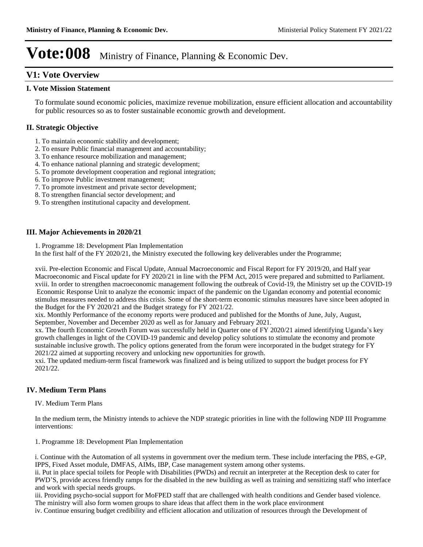### **V1: Vote Overview**

#### **I. Vote Mission Statement**

To formulate sound economic policies, maximize revenue mobilization, ensure efficient allocation and accountability for public resources so as to foster sustainable economic growth and development.

### **II. Strategic Objective**

- 1. To maintain economic stability and development;
- 2. To ensure Public financial management and accountability;
- 3. To enhance resource mobilization and management;
- 4. To enhance national planning and strategic development;
- 5. To promote development cooperation and regional integration;
- 6. To improve Public investment management;
- 7. To promote investment and private sector development;
- 8. To strengthen financial sector development; and
- 9. To strengthen institutional capacity and development.

### **III. Major Achievements in 2020/21**

1. Programme 18: Development Plan Implementation

In the first half of the FY 2020/21, the Ministry executed the following key deliverables under the Programme;

xvii. Pre-election Economic and Fiscal Update, Annual Macroeconomic and Fiscal Report for FY 2019/20, and Half year Macroeconomic and Fiscal update for FY 2020/21 in line with the PFM Act, 2015 were prepared and submitted to Parliament. xviii. In order to strengthen macroeconomic management following the outbreak of Covid-19, the Ministry set up the COVID-19 Economic Response Unit to analyze the economic impact of the pandemic on the Ugandan economy and potential economic stimulus measures needed to address this crisis. Some of the short-term economic stimulus measures have since been adopted in the Budget for the FY 2020/21 and the Budget strategy for FY 2021/22.

xix. Monthly Performance of the economy reports were produced and published for the Months of June, July, August, September, November and December 2020 as well as for January and February 2021.

xx. The fourth Economic Growth Forum was successfully held in Quarter one of FY 2020/21 aimed identifying Uganda's key growth challenges in light of the COVID-19 pandemic and develop policy solutions to stimulate the economy and promote sustainable inclusive growth. The policy options generated from the forum were incorporated in the budget strategy for FY 2021/22 aimed at supporting recovery and unlocking new opportunities for growth.

xxi. The updated medium-term fiscal framework was finalized and is being utilized to support the budget process for FY 2021/22.

### **IV. Medium Term Plans**

IV. Medium Term Plans

In the medium term, the Ministry intends to achieve the NDP strategic priorities in line with the following NDP III Programme interventions:

- 1. Programme 18: Development Plan Implementation
- i. Continue with the Automation of all systems in government over the medium term. These include interfacing the PBS, e-GP, IPPS, Fixed Asset module, DMFAS, AIMs, IBP, Case management system among other systems.

ii. Put in place special toilets for People with Disabilities (PWDs) and recruit an interpreter at the Reception desk to cater for PWD'S, provide access friendly ramps for the disabled in the new building as well as training and sensitizing staff who interface and work with special needs groups.

iii. Providing psycho-social support for MoFPED staff that are challenged with health conditions and Gender based violence. The ministry will also form women groups to share ideas that affect them in the work place environment

iv. Continue ensuring budget credibility and efficient allocation and utilization of resources through the Development of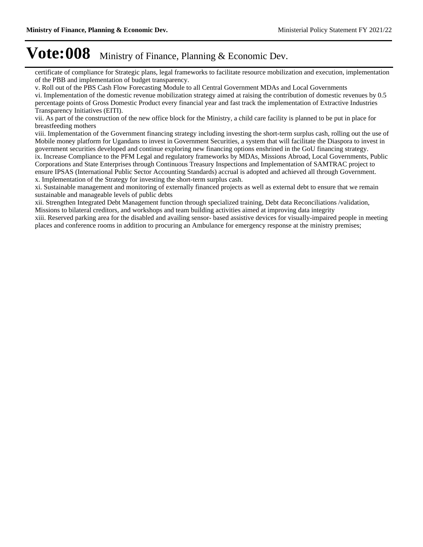certificate of compliance for Strategic plans, legal frameworks to facilitate resource mobilization and execution, implementation of the PBB and implementation of budget transparency.

v. Roll out of the PBS Cash Flow Forecasting Module to all Central Government MDAs and Local Governments vi. Implementation of the domestic revenue mobilization strategy aimed at raising the contribution of domestic revenues by 0.5 percentage points of Gross Domestic Product every financial year and fast track the implementation of Extractive Industries Transparency Initiatives (EITI).

vii. As part of the construction of the new office block for the Ministry, a child care facility is planned to be put in place for breastfeeding mothers

viii. Implementation of the Government financing strategy including investing the short-term surplus cash, rolling out the use of Mobile money platform for Ugandans to invest in Government Securities, a system that will facilitate the Diaspora to invest in government securities developed and continue exploring new financing options enshrined in the GoU financing strategy. ix. Increase Compliance to the PFM Legal and regulatory frameworks by MDAs, Missions Abroad, Local Governments, Public Corporations and State Enterprises through Continuous Treasury Inspections and Implementation of SAMTRAC project to ensure IPSAS (International Public Sector Accounting Standards) accrual is adopted and achieved all through Government. x. Implementation of the Strategy for investing the short-term surplus cash.

xi. Sustainable management and monitoring of externally financed projects as well as external debt to ensure that we remain sustainable and manageable levels of public debts

xii. Strengthen Integrated Debt Management function through specialized training, Debt data Reconciliations /validation, Missions to bilateral creditors, and workshops and team building activities aimed at improving data integrity

xiii. Reserved parking area for the disabled and availing sensor- based assistive devices for visually-impaired people in meeting places and conference rooms in addition to procuring an Ambulance for emergency response at the ministry premises;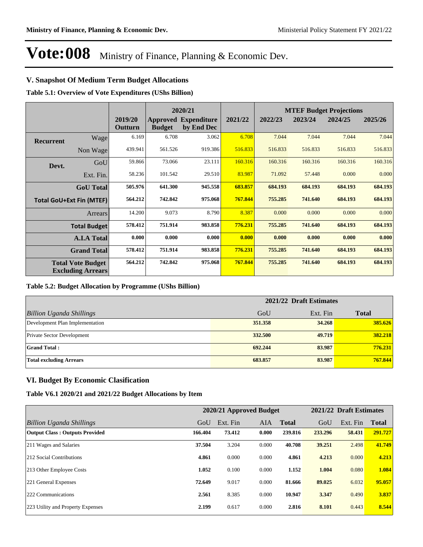### **V. Snapshot Of Medium Term Budget Allocations**

**Table 5.1: Overview of Vote Expenditures (UShs Billion)**

|                  |                                                      |                    |               | 2020/21                                   |         | <b>MTEF Budget Projections</b> |         |         |         |  |
|------------------|------------------------------------------------------|--------------------|---------------|-------------------------------------------|---------|--------------------------------|---------|---------|---------|--|
|                  |                                                      | 2019/20<br>Outturn | <b>Budget</b> | <b>Approved Expenditure</b><br>by End Dec | 2021/22 | 2022/23                        | 2023/24 | 2024/25 | 2025/26 |  |
| <b>Recurrent</b> | Wage                                                 | 6.169              | 6.708         | 3.062                                     | 6.708   | 7.044                          | 7.044   | 7.044   | 7.044   |  |
|                  | Non Wage                                             | 439.941            | 561.526       | 919.386                                   | 516.833 | 516.833                        | 516.833 | 516.833 | 516.833 |  |
| Devt.            | GoU                                                  | 59.866             | 73.066        | 23.111                                    | 160.316 | 160.316                        | 160.316 | 160.316 | 160.316 |  |
|                  | Ext. Fin.                                            | 58.236             | 101.542       | 29.510                                    | 83.987  | 71.092                         | 57.448  | 0.000   | 0.000   |  |
|                  | <b>GoU</b> Total                                     | 505.976            | 641.300       | 945.558                                   | 683.857 | 684.193                        | 684.193 | 684.193 | 684.193 |  |
|                  | <b>Total GoU+Ext Fin (MTEF)</b>                      | 564.212            | 742.842       | 975.068                                   | 767.844 | 755.285                        | 741.640 | 684.193 | 684.193 |  |
|                  | Arrears                                              | 14.200             | 9.073         | 8.790                                     | 8.387   | 0.000                          | 0.000   | 0.000   | 0.000   |  |
|                  | <b>Total Budget</b>                                  | 578.412            | 751.914       | 983.858                                   | 776.231 | 755.285                        | 741.640 | 684.193 | 684.193 |  |
|                  | <b>A.I.A Total</b>                                   | 0.000              | 0.000         | 0.000                                     | 0.000   | 0.000                          | 0.000   | 0.000   | 0.000   |  |
|                  | <b>Grand Total</b>                                   | 578.412            | 751.914       | 983.858                                   | 776.231 | 755.285                        | 741.640 | 684.193 | 684.193 |  |
|                  | <b>Total Vote Budget</b><br><b>Excluding Arrears</b> | 564.212            | 742.842       | 975.068                                   | 767.844 | 755.285                        | 741.640 | 684.193 | 684.193 |  |

#### **Table 5.2: Budget Allocation by Programme (UShs Billion)**

|                                   | 2021/22 Draft Estimates |          |              |  |  |  |
|-----------------------------------|-------------------------|----------|--------------|--|--|--|
| Billion Uganda Shillings          | GoU                     | Ext. Fin | <b>Total</b> |  |  |  |
| Development Plan Implementation   | 351.358                 | 34.268   | 385.626      |  |  |  |
| <b>Private Sector Development</b> | 332.500                 | 49.719   | 382.218      |  |  |  |
| <b>Grand Total:</b>               | 692.244                 | 83.987   | 776.231      |  |  |  |
| <b>Total excluding Arrears</b>    | 683.857                 | 83.987   | 767.844      |  |  |  |

#### **VI. Budget By Economic Clasification**

#### **Table V6.1 2020/21 and 2021/22 Budget Allocations by Item**

|                                       |         |          | 2020/21 Approved Budget | 2021/22 Draft Estimates |         |          |              |
|---------------------------------------|---------|----------|-------------------------|-------------------------|---------|----------|--------------|
| Billion Uganda Shillings              | GoU     | Ext. Fin | AIA                     | <b>Total</b>            | GoU     | Ext. Fin | <b>Total</b> |
| <b>Output Class: Outputs Provided</b> | 166.404 | 73.412   | 0.000                   | 239.816                 | 233.296 | 58.431   | 291.727      |
| 211 Wages and Salaries                | 37.504  | 3.204    | 0.000                   | 40.708                  | 39.251  | 2.498    | 41.749       |
| 212 Social Contributions              | 4.861   | 0.000    | 0.000                   | 4.861                   | 4.213   | 0.000    | 4.213        |
| 213 Other Employee Costs              | 1.052   | 0.100    | 0.000                   | 1.152                   | 1.004   | 0.080    | 1.084        |
| 221 General Expenses                  | 72.649  | 9.017    | 0.000                   | 81.666                  | 89.025  | 6.032    | 95.057       |
| 222 Communications                    | 2.561   | 8.385    | 0.000                   | 10.947                  | 3.347   | 0.490    | 3.837        |
| 223 Utility and Property Expenses     | 2.199   | 0.617    | 0.000                   | 2.816                   | 8.101   | 0.443    | 8.544        |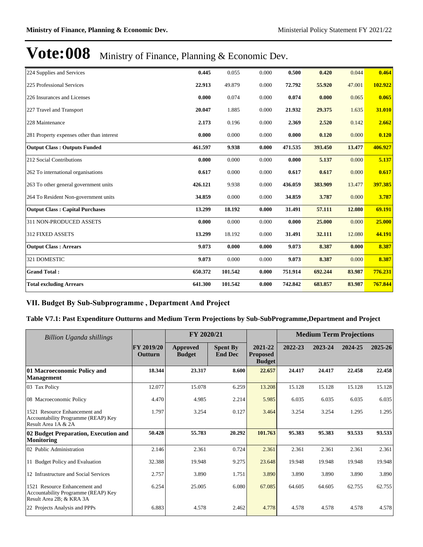| 224 Supplies and Services                 | 0.445   | 0.055   | 0.000 | 0.500   | 0.420   | 0.044  | 0.464   |
|-------------------------------------------|---------|---------|-------|---------|---------|--------|---------|
| 225 Professional Services                 | 22.913  | 49.879  | 0.000 | 72.792  | 55.920  | 47.001 | 102.922 |
| 226 Insurances and Licenses               | 0.000   | 0.074   | 0.000 | 0.074   | 0.000   | 0.065  | 0.065   |
| 227 Travel and Transport                  | 20.047  | 1.885   | 0.000 | 21.932  | 29.375  | 1.635  | 31.010  |
| 228 Maintenance                           | 2.173   | 0.196   | 0.000 | 2.369   | 2.520   | 0.142  | 2.662   |
| 281 Property expenses other than interest | 0.000   | 0.000   | 0.000 | 0.000   | 0.120   | 0.000  | 0.120   |
| <b>Output Class: Outputs Funded</b>       | 461.597 | 9.938   | 0.000 | 471.535 | 393.450 | 13.477 | 406.927 |
| 212 Social Contributions                  | 0.000   | 0.000   | 0.000 | 0.000   | 5.137   | 0.000  | 5.137   |
| 262 To international organisations        | 0.617   | 0.000   | 0.000 | 0.617   | 0.617   | 0.000  | 0.617   |
| 263 To other general government units     | 426.121 | 9.938   | 0.000 | 436.059 | 383.909 | 13.477 | 397.385 |
| 264 To Resident Non-government units      | 34.859  | 0.000   | 0.000 | 34.859  | 3.787   | 0.000  | 3.787   |
| <b>Output Class: Capital Purchases</b>    | 13.299  | 18.192  | 0.000 | 31.491  | 57.111  | 12.080 | 69.191  |
| 311 NON-PRODUCED ASSETS                   | 0.000   | 0.000   | 0.000 | 0.000   | 25.000  | 0.000  | 25.000  |
| 312 FIXED ASSETS                          | 13.299  | 18.192  | 0.000 | 31.491  | 32.111  | 12.080 | 44.191  |
| <b>Output Class: Arrears</b>              | 9.073   | 0.000   | 0.000 | 9.073   | 8.387   | 0.000  | 8.387   |
| 321 DOMESTIC                              | 9.073   | 0.000   | 0.000 | 9.073   | 8.387   | 0.000  | 8.387   |
| <b>Grand Total:</b>                       | 650.372 | 101.542 | 0.000 | 751.914 | 692.244 | 83.987 | 776.231 |
| <b>Total excluding Arrears</b>            | 641.300 | 101.542 | 0.000 | 742.842 | 683.857 | 83.987 | 767.844 |

#### VII. Budget By Sub-Subprogramme, Department And Project

### **Table V7.1: Past Expenditure Outturns and Medium Term Projections by Sub-SubProgramme,Department and Project**

| Billion Uganda shillings                                                                         |                              | FY 2020/21                |                                   |                                             | <b>Medium Term Projections</b> |         |         |         |
|--------------------------------------------------------------------------------------------------|------------------------------|---------------------------|-----------------------------------|---------------------------------------------|--------------------------------|---------|---------|---------|
|                                                                                                  | FY 2019/20<br><b>Outturn</b> | Approved<br><b>Budget</b> | <b>Spent By</b><br><b>End Dec</b> | 2021-22<br><b>Proposed</b><br><b>Budget</b> | 2022-23                        | 2023-24 | 2024-25 | 2025-26 |
| 01 Macroeconomic Policy and<br><b>Management</b>                                                 | 18.344                       | 23.317                    | 8.600                             | 22,657                                      | 24.417                         | 24.417  | 22.458  | 22.458  |
| 03 Tax Policy                                                                                    | 12.077                       | 15.078                    | 6.259                             | 13.208                                      | 15.128                         | 15.128  | 15.128  | 15.128  |
| 08 Macroeconomic Policy                                                                          | 4.470                        | 4.985                     | 2.214                             | 5.985                                       | 6.035                          | 6.035   | 6.035   | 6.035   |
| 1521 Resource Enhancement and<br>Accountability Programme (REAP) Key<br>Result Area 1A & 2A      | 1.797                        | 3.254                     | 0.127                             | 3.464                                       | 3.254                          | 3.254   | 1.295   | 1.295   |
| 02 Budget Preparation, Execution and<br><b>Monitoring</b>                                        | 50.428                       | 55.783                    | 20.292                            | 101.763                                     | 95.383                         | 95.383  | 93.533  | 93.533  |
| 02 Public Administration                                                                         | 2.146                        | 2.361                     | 0.724                             | 2.361                                       | 2.361                          | 2.361   | 2.361   | 2.361   |
| 11 Budget Policy and Evaluation                                                                  | 32.388                       | 19.948                    | 9.275                             | 23.648                                      | 19.948                         | 19.948  | 19.948  | 19.948  |
| 12 Infrastructure and Social Services                                                            | 2.757                        | 3.890                     | 1.751                             | 3.890                                       | 3.890                          | 3.890   | 3.890   | 3.890   |
| 1521 Resource Enhancement and<br>Accountability Programme (REAP) Key<br>Result Area 2B; & KRA 3A | 6.254                        | 25.005                    | 6.080                             | 67.085                                      | 64.605                         | 64.605  | 62.755  | 62.755  |
| 22 Projects Analysis and PPPs                                                                    | 6.883                        | 4.578                     | 2.462                             | 4.778                                       | 4.578                          | 4.578   | 4.578   | 4.578   |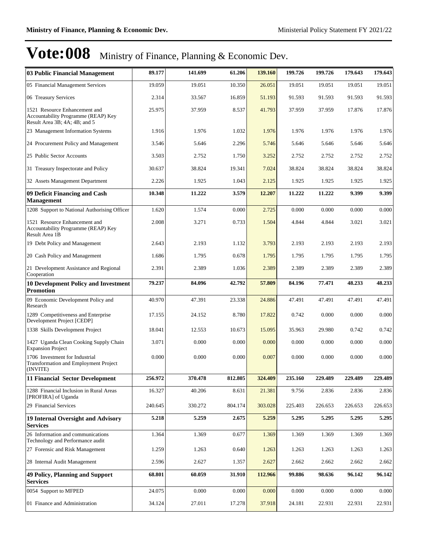| 03 Public Financial Management                                                                        | 89.177  | 141.699 | 61.206  | 139.160 | 199.726 | 199.726 | 179.643 | 179.643 |
|-------------------------------------------------------------------------------------------------------|---------|---------|---------|---------|---------|---------|---------|---------|
| 05 Financial Management Services                                                                      | 19.059  | 19.051  | 10.350  | 26.051  | 19.051  | 19.051  | 19.051  | 19.051  |
| 06 Treasury Services                                                                                  | 2.314   | 33.567  | 16.859  | 51.193  | 91.593  | 91.593  | 91.593  | 91.593  |
| 1521 Resource Enhancement and<br>Accountability Programme (REAP) Key<br>Result Area 3B; 4A; 4B; and 5 | 25.975  | 37.959  | 8.537   | 41.793  | 37.959  | 37.959  | 17.876  | 17.876  |
| 23 Management Information Systems                                                                     | 1.916   | 1.976   | 1.032   | 1.976   | 1.976   | 1.976   | 1.976   | 1.976   |
| 24 Procurement Policy and Management                                                                  | 3.546   | 5.646   | 2.296   | 5.746   | 5.646   | 5.646   | 5.646   | 5.646   |
| 25 Public Sector Accounts                                                                             | 3.503   | 2.752   | 1.750   | 3.252   | 2.752   | 2.752   | 2.752   | 2.752   |
| 31 Treasury Inspectorate and Policy                                                                   | 30.637  | 38.824  | 19.341  | 7.024   | 38.824  | 38.824  | 38.824  | 38.824  |
| 32 Assets Management Department                                                                       | 2.226   | 1.925   | 1.043   | 2.125   | 1.925   | 1.925   | 1.925   | 1.925   |
| 09 Deficit Financing and Cash<br><b>Management</b>                                                    | 10.348  | 11.222  | 3.579   | 12.207  | 11.222  | 11.222  | 9.399   | 9.399   |
| 1208 Support to National Authorising Officer                                                          | 1.620   | 1.574   | 0.000   | 2.725   | 0.000   | 0.000   | 0.000   | 0.000   |
| 1521 Resource Enhancement and<br>Accountability Programme (REAP) Key<br>Result Area 1B                | 2.008   | 3.271   | 0.733   | 1.504   | 4.844   | 4.844   | 3.021   | 3.021   |
| 19 Debt Policy and Management                                                                         | 2.643   | 2.193   | 1.132   | 3.793   | 2.193   | 2.193   | 2.193   | 2.193   |
| 20 Cash Policy and Management                                                                         | 1.686   | 1.795   | 0.678   | 1.795   | 1.795   | 1.795   | 1.795   | 1.795   |
| 21 Development Assistance and Regional<br>Cooperation                                                 | 2.391   | 2.389   | 1.036   | 2.389   | 2.389   | 2.389   | 2.389   | 2.389   |
| <b>10 Development Policy and Investment</b><br><b>Promotion</b>                                       | 79.237  | 84.096  | 42.792  | 57.809  | 84.196  | 77.471  | 48.233  | 48.233  |
| 09 Economic Development Policy and<br>Research                                                        | 40.970  | 47.391  | 23.338  | 24.886  | 47.491  | 47.491  | 47.491  | 47.491  |
| 1289 Competitiveness and Enterprise<br>Development Project [CEDP]                                     | 17.155  | 24.152  | 8.780   | 17.822  | 0.742   | 0.000   | 0.000   | 0.000   |
| 1338 Skills Development Project                                                                       | 18.041  | 12.553  | 10.673  | 15.095  | 35.963  | 29.980  | 0.742   | 0.742   |
| 1427 Uganda Clean Cooking Supply Chain<br><b>Expansion Project</b>                                    | 3.071   | 0.000   | 0.000   | 0.000   | 0.000   | 0.000   | 0.000   | 0.000   |
| 1706 Investment for Industrial<br>Transformation and Employment Project<br>(INVITE)                   | 0.000   | 0.000   | 0.000   | 0.007   | 0.000   | 0.000   | 0.000   | 0.000   |
| <b>11 Financial Sector Development</b>                                                                | 256.972 | 370.478 | 812.805 | 324.409 | 235.160 | 229.489 | 229.489 | 229.489 |
| 1288 Financial Inclusion in Rural Areas<br>[PROFIRA] of Uganda                                        | 16.327  | 40.206  | 8.631   | 21.381  | 9.756   | 2.836   | 2.836   | 2.836   |
| 29 Financial Services                                                                                 | 240.645 | 330.272 | 804.174 | 303.028 | 225.403 | 226.653 | 226.653 | 226.653 |
| 19 Internal Oversight and Advisory<br>Services                                                        | 5.218   | 5.259   | 2.675   | 5.259   | 5.295   | 5.295   | 5.295   | 5.295   |
| 26 Information and communications<br>Technology and Performance audit                                 | 1.364   | 1.369   | 0.677   | 1.369   | 1.369   | 1.369   | 1.369   | 1.369   |
| 27 Forensic and Risk Management                                                                       | 1.259   | 1.263   | 0.640   | 1.263   | 1.263   | 1.263   | 1.263   | 1.263   |
| 28 Internal Audit Management                                                                          | 2.596   | 2.627   | 1.357   | 2.627   | 2.662   | 2.662   | 2.662   | 2.662   |
| 49 Policy, Planning and Support<br><b>Services</b>                                                    | 68.801  | 60.059  | 31.910  | 112.966 | 99.886  | 98.636  | 96.142  | 96.142  |
| 0054 Support to MFPED                                                                                 | 24.075  | 0.000   | 0.000   | 0.000   | 0.000   | 0.000   | 0.000   | 0.000   |
| 01 Finance and Administration                                                                         | 34.124  | 27.011  | 17.278  | 37.918  | 24.181  | 22.931  | 22.931  | 22.931  |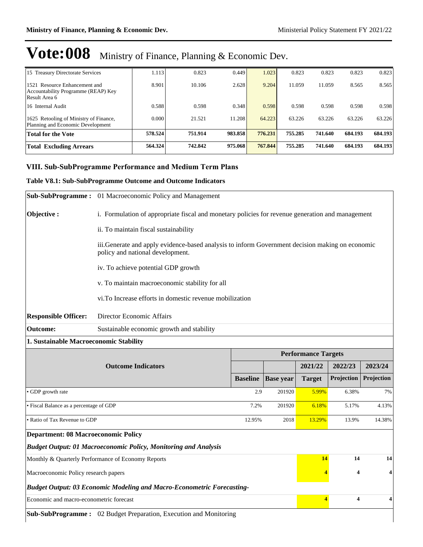| 15 Treasury Directorate Services                                                      | 1.113   | 0.823   | 0.449   | 1.023   | 0.823   | 0.823   | 0.823   | 0.823   |
|---------------------------------------------------------------------------------------|---------|---------|---------|---------|---------|---------|---------|---------|
| 1521 Resource Enhancement and<br>Accountability Programme (REAP) Key<br>Result Area 6 | 8.901   | 10.106  | 2.628   | 9.204   | 11.059  | 11.059  | 8.565   | 8.565   |
| 16 Internal Audit                                                                     | 0.588   | 0.598   | 0.348   | 0.598   | 0.598   | 0.598   | 0.598   | 0.598   |
| 1625 Retooling of Ministry of Finance,<br>Planning and Economic Development           | 0.000   | 21.521  | 11.208  | 64.223  | 63.226  | 63.226  | 63.226  | 63.226  |
| <b>Total for the Vote</b>                                                             | 578.524 | 751.914 | 983.858 | 776.231 | 755.285 | 741.640 | 684.193 | 684.193 |
| <b>Total Excluding Arrears</b>                                                        | 564.324 | 742.842 | 975.068 | 767.844 | 755.285 | 741.640 | 684.193 | 684.193 |

### **VIII. Sub-SubProgramme Performance and Medium Term Plans**

#### **Table V8.1: Sub-SubProgramme Outcome and Outcome Indicators**

|                                            | Sub-SubProgramme: 01 Macroeconomic Policy and Management                                                                            |                 |                  |                            |            |            |
|--------------------------------------------|-------------------------------------------------------------------------------------------------------------------------------------|-----------------|------------------|----------------------------|------------|------------|
| Objective:                                 | i. Formulation of appropriate fiscal and monetary policies for revenue generation and management                                    |                 |                  |                            |            |            |
|                                            | ii. To maintain fiscal sustainability                                                                                               |                 |                  |                            |            |            |
|                                            | iii.Generate and apply evidence-based analysis to inform Government decision making on economic<br>policy and national development. |                 |                  |                            |            |            |
|                                            | iv. To achieve potential GDP growth                                                                                                 |                 |                  |                            |            |            |
|                                            | v. To maintain macroeconomic stability for all                                                                                      |                 |                  |                            |            |            |
|                                            | vi.To Increase efforts in domestic revenue mobilization                                                                             |                 |                  |                            |            |            |
| <b>Responsible Officer:</b>                | Director Economic Affairs                                                                                                           |                 |                  |                            |            |            |
| <b>Outcome:</b>                            | Sustainable economic growth and stability                                                                                           |                 |                  |                            |            |            |
| 1. Sustainable Macroeconomic Stability     |                                                                                                                                     |                 |                  |                            |            |            |
|                                            |                                                                                                                                     |                 |                  | <b>Performance Targets</b> |            |            |
|                                            | <b>Outcome Indicators</b>                                                                                                           |                 |                  | 2021/22                    | 2022/23    | 2023/24    |
|                                            |                                                                                                                                     | <b>Baseline</b> | <b>Base year</b> | <b>Target</b>              | Projection | Projection |
| • GDP growth rate                          |                                                                                                                                     | 2.9             | 201920           | 5.99%                      | 6.38%      | 7%         |
| • Fiscal Balance as a percentage of GDP    |                                                                                                                                     | 7.2%            | 201920           | 6.18%                      | 5.17%      | 4.13%      |
| · Ratio of Tax Revenue to GDP              |                                                                                                                                     | 12.95%          | 2018             | 13.29%                     | 13.9%      | 14.38%     |
| <b>Department: 08 Macroeconomic Policy</b> |                                                                                                                                     |                 |                  |                            |            |            |
|                                            | <b>Budget Output: 01 Macroeconomic Policy, Monitoring and Analysis</b>                                                              |                 |                  |                            |            |            |
|                                            | Monthly & Quarterly Performance of Economy Reports                                                                                  |                 |                  | 14                         | 14         | 14         |
| Macroeconomic Policy research papers       |                                                                                                                                     |                 |                  |                            | 4          |            |
|                                            | <b>Budget Output: 03 Economic Modeling and Macro-Econometric Forecasting-</b>                                                       |                 |                  |                            |            |            |
| Economic and macro-econometric forecast    |                                                                                                                                     |                 |                  | 4                          | 4          | 4          |
|                                            |                                                                                                                                     |                 |                  |                            |            |            |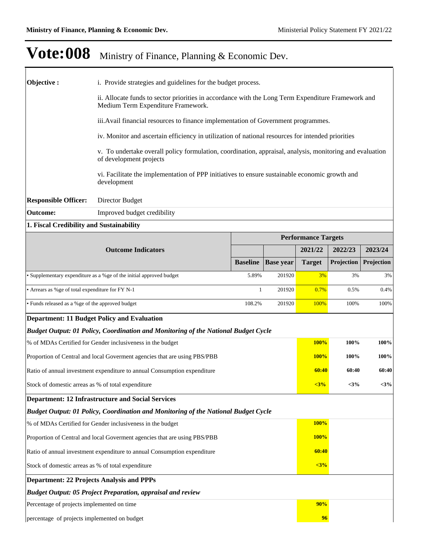| Objective:                                                 | i. Provide strategies and guidelines for the budget process.                                                                             |                 |                  |                            |            |            |
|------------------------------------------------------------|------------------------------------------------------------------------------------------------------------------------------------------|-----------------|------------------|----------------------------|------------|------------|
|                                                            | ii. Allocate funds to sector priorities in accordance with the Long Term Expenditure Framework and<br>Medium Term Expenditure Framework. |                 |                  |                            |            |            |
|                                                            | iii. Avail financial resources to finance implementation of Government programmes.                                                       |                 |                  |                            |            |            |
|                                                            | iv. Monitor and ascertain efficiency in utilization of national resources for intended priorities                                        |                 |                  |                            |            |            |
|                                                            | v. To undertake overall policy formulation, coordination, appraisal, analysis, monitoring and evaluation<br>of development projects      |                 |                  |                            |            |            |
|                                                            | vi. Facilitate the implementation of PPP initiatives to ensure sustainable economic growth and<br>development                            |                 |                  |                            |            |            |
| <b>Responsible Officer:</b>                                | Director Budget                                                                                                                          |                 |                  |                            |            |            |
| <b>Outcome:</b>                                            | Improved budget credibility                                                                                                              |                 |                  |                            |            |            |
| 1. Fiscal Credibility and Sustainability                   |                                                                                                                                          |                 |                  |                            |            |            |
|                                                            |                                                                                                                                          |                 |                  | <b>Performance Targets</b> |            |            |
|                                                            | <b>Outcome Indicators</b>                                                                                                                |                 |                  | 2021/22                    | 2022/23    | 2023/24    |
|                                                            |                                                                                                                                          | <b>Baseline</b> | <b>Base year</b> | <b>Target</b>              | Projection | Projection |
|                                                            | • Supplementary expenditure as a %ge of the initial approved budget                                                                      | 5.89%           | 201920           | 3%                         | 3%         | 3%         |
| • Arrears as %ge of total expenditure for FY N-1           |                                                                                                                                          | 1               | 201920           | 0.7%                       | 0.5%       | 0.4%       |
| • Funds released as a %ge of the approved budget           |                                                                                                                                          | 108.2%          | 201920           | 100%                       | 100%       | 100%       |
|                                                            | <b>Department: 11 Budget Policy and Evaluation</b>                                                                                       |                 |                  |                            |            |            |
|                                                            | <b>Budget Output: 01 Policy, Coordination and Monitoring of the National Budget Cycle</b>                                                |                 |                  |                            |            |            |
|                                                            | % of MDAs Certified for Gender inclusiveness in the budget                                                                               |                 |                  | 100%                       | 100%       | 100%       |
|                                                            | Proportion of Central and local Governent agencies that are using PBS/PBB                                                                |                 |                  | <b>100%</b>                | 100%       | 100%       |
|                                                            | Ratio of annual investment expenditure to annual Consumption expenditure                                                                 |                 |                  | 60:40                      | 60:40      | 60:40      |
| Stock of domestic arreas as % of total expenditure         |                                                                                                                                          |                 |                  | $3%$                       | $<$ 3%     | $<$ 3%     |
|                                                            | <b>Department: 12 Infrastructure and Social Services</b>                                                                                 |                 |                  |                            |            |            |
|                                                            | <b>Budget Output: 01 Policy, Coordination and Monitoring of the National Budget Cycle</b>                                                |                 |                  |                            |            |            |
|                                                            | % of MDAs Certified for Gender inclusiveness in the budget                                                                               |                 |                  | <b>100%</b>                |            |            |
|                                                            | Proportion of Central and local Government agencies that are using PBS/PBB                                                               |                 |                  | 100%                       |            |            |
|                                                            | Ratio of annual investment expenditure to annual Consumption expenditure                                                                 |                 |                  | 60:40                      |            |            |
| $3%$<br>Stock of domestic arreas as % of total expenditure |                                                                                                                                          |                 |                  |                            |            |            |
| <b>Department: 22 Projects Analysis and PPPs</b>           |                                                                                                                                          |                 |                  |                            |            |            |
|                                                            | <b>Budget Output: 05 Project Preparation, appraisal and review</b>                                                                       |                 |                  |                            |            |            |
| Percentage of projects implemented on time                 |                                                                                                                                          |                 |                  | 90%                        |            |            |
| percentage of projects implemented on budget               |                                                                                                                                          |                 |                  | 96                         |            |            |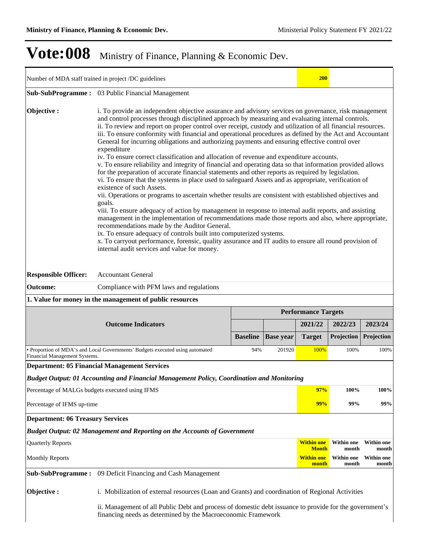|                                                 | Number of MDA staff trained in project /DC guidelines                                                                                                                                                                                                                                                                                                                                                                                                                                                                                                                                                                                                                                                                                                                                                                                                                                                                                                                                                                                                                                                                                                                                                                                                                                                                                                                                                                                                                                                                                                                                                                                                           |                 |                  | <b>200</b>                                 |                                     |                                     |  |  |  |  |
|-------------------------------------------------|-----------------------------------------------------------------------------------------------------------------------------------------------------------------------------------------------------------------------------------------------------------------------------------------------------------------------------------------------------------------------------------------------------------------------------------------------------------------------------------------------------------------------------------------------------------------------------------------------------------------------------------------------------------------------------------------------------------------------------------------------------------------------------------------------------------------------------------------------------------------------------------------------------------------------------------------------------------------------------------------------------------------------------------------------------------------------------------------------------------------------------------------------------------------------------------------------------------------------------------------------------------------------------------------------------------------------------------------------------------------------------------------------------------------------------------------------------------------------------------------------------------------------------------------------------------------------------------------------------------------------------------------------------------------|-----------------|------------------|--------------------------------------------|-------------------------------------|-------------------------------------|--|--|--|--|
|                                                 | Sub-SubProgramme: 03 Public Financial Management                                                                                                                                                                                                                                                                                                                                                                                                                                                                                                                                                                                                                                                                                                                                                                                                                                                                                                                                                                                                                                                                                                                                                                                                                                                                                                                                                                                                                                                                                                                                                                                                                |                 |                  |                                            |                                     |                                     |  |  |  |  |
| Objective:                                      | i. To provide an independent objective assurance and advisory services on governance, risk management<br>and control processes through disciplined approach by measuring and evaluating internal controls.<br>ii. To review and report on proper control over receipt, custody and utilization of all financial resources.<br>iii. To ensure conformity with financial and operational procedures as defined by the Act and Accountant<br>General for incurring obligations and authorizing payments and ensuring effective control over<br>expenditure<br>iv. To ensure correct classification and allocation of revenue and expenditure accounts.<br>v. To ensure reliability and integrity of financial and operating data so that information provided allows<br>for the preparation of accurate financial statements and other reports as required by legislation.<br>vi. To ensure that the systems in place used to safeguard Assets and as appropriate, verification of<br>existence of such Assets.<br>vii. Operations or programs to ascertain whether results are consistent with established objectives and<br>goals.<br>viii. To ensure adequacy of action by management in response to internal audit reports, and assisting<br>management in the implementation of recommendations made those reports and also, where appropriate,<br>recommendations made by the Auditor General.<br>ix. To ensure adequacy of controls built into computerized systems.<br>x. To carryout performance, forensic, quality assurance and IT audits to ensure all round provision of<br>internal audit services and value for money.<br><b>Accountant General</b> |                 |                  |                                            |                                     |                                     |  |  |  |  |
| <b>Responsible Officer:</b>                     |                                                                                                                                                                                                                                                                                                                                                                                                                                                                                                                                                                                                                                                                                                                                                                                                                                                                                                                                                                                                                                                                                                                                                                                                                                                                                                                                                                                                                                                                                                                                                                                                                                                                 |                 |                  |                                            |                                     |                                     |  |  |  |  |
| <b>Outcome:</b>                                 | Compliance with PFM laws and regulations                                                                                                                                                                                                                                                                                                                                                                                                                                                                                                                                                                                                                                                                                                                                                                                                                                                                                                                                                                                                                                                                                                                                                                                                                                                                                                                                                                                                                                                                                                                                                                                                                        |                 |                  |                                            |                                     |                                     |  |  |  |  |
|                                                 | 1. Value for money in the management of public resources                                                                                                                                                                                                                                                                                                                                                                                                                                                                                                                                                                                                                                                                                                                                                                                                                                                                                                                                                                                                                                                                                                                                                                                                                                                                                                                                                                                                                                                                                                                                                                                                        |                 |                  |                                            |                                     |                                     |  |  |  |  |
|                                                 |                                                                                                                                                                                                                                                                                                                                                                                                                                                                                                                                                                                                                                                                                                                                                                                                                                                                                                                                                                                                                                                                                                                                                                                                                                                                                                                                                                                                                                                                                                                                                                                                                                                                 |                 |                  | <b>Performance Targets</b>                 |                                     |                                     |  |  |  |  |
|                                                 | <b>Outcome Indicators</b>                                                                                                                                                                                                                                                                                                                                                                                                                                                                                                                                                                                                                                                                                                                                                                                                                                                                                                                                                                                                                                                                                                                                                                                                                                                                                                                                                                                                                                                                                                                                                                                                                                       | <b>Baseline</b> | <b>Base year</b> | 2021/22<br><b>Target</b>                   | 2022/23<br>Projection               | 2023/24<br>Projection               |  |  |  |  |
|                                                 | · Proportion of MDA's and Local Governments' Budgets executed using automated                                                                                                                                                                                                                                                                                                                                                                                                                                                                                                                                                                                                                                                                                                                                                                                                                                                                                                                                                                                                                                                                                                                                                                                                                                                                                                                                                                                                                                                                                                                                                                                   | 94%             | 201920           | 100%                                       | 100%                                | 100%                                |  |  |  |  |
| Financial Management Systems.                   | <b>Department: 05 Financial Management Services</b>                                                                                                                                                                                                                                                                                                                                                                                                                                                                                                                                                                                                                                                                                                                                                                                                                                                                                                                                                                                                                                                                                                                                                                                                                                                                                                                                                                                                                                                                                                                                                                                                             |                 |                  |                                            |                                     |                                     |  |  |  |  |
|                                                 | Budget Output: 01 Accounting and Financial Management Policy, Coordination and Monitoring                                                                                                                                                                                                                                                                                                                                                                                                                                                                                                                                                                                                                                                                                                                                                                                                                                                                                                                                                                                                                                                                                                                                                                                                                                                                                                                                                                                                                                                                                                                                                                       |                 |                  |                                            |                                     |                                     |  |  |  |  |
| Percentage of MALGs budgets executed using IFMS |                                                                                                                                                                                                                                                                                                                                                                                                                                                                                                                                                                                                                                                                                                                                                                                                                                                                                                                                                                                                                                                                                                                                                                                                                                                                                                                                                                                                                                                                                                                                                                                                                                                                 |                 |                  | 97%                                        | 100%                                | 100%                                |  |  |  |  |
| Percentage of IFMS up-time                      |                                                                                                                                                                                                                                                                                                                                                                                                                                                                                                                                                                                                                                                                                                                                                                                                                                                                                                                                                                                                                                                                                                                                                                                                                                                                                                                                                                                                                                                                                                                                                                                                                                                                 |                 |                  | 99%                                        | 99%                                 | 99%                                 |  |  |  |  |
| <b>Department: 06 Treasury Services</b>         |                                                                                                                                                                                                                                                                                                                                                                                                                                                                                                                                                                                                                                                                                                                                                                                                                                                                                                                                                                                                                                                                                                                                                                                                                                                                                                                                                                                                                                                                                                                                                                                                                                                                 |                 |                  |                                            |                                     |                                     |  |  |  |  |
|                                                 | Budget Output: 02 Management and Reporting on the Accounts of Government                                                                                                                                                                                                                                                                                                                                                                                                                                                                                                                                                                                                                                                                                                                                                                                                                                                                                                                                                                                                                                                                                                                                                                                                                                                                                                                                                                                                                                                                                                                                                                                        |                 |                  |                                            |                                     |                                     |  |  |  |  |
|                                                 |                                                                                                                                                                                                                                                                                                                                                                                                                                                                                                                                                                                                                                                                                                                                                                                                                                                                                                                                                                                                                                                                                                                                                                                                                                                                                                                                                                                                                                                                                                                                                                                                                                                                 |                 |                  |                                            |                                     |                                     |  |  |  |  |
| <b>Quarterly Reports</b>                        |                                                                                                                                                                                                                                                                                                                                                                                                                                                                                                                                                                                                                                                                                                                                                                                                                                                                                                                                                                                                                                                                                                                                                                                                                                                                                                                                                                                                                                                                                                                                                                                                                                                                 |                 |                  | <b>Within one</b>                          | Within one                          | <b>Within one</b>                   |  |  |  |  |
| <b>Monthly Reports</b>                          |                                                                                                                                                                                                                                                                                                                                                                                                                                                                                                                                                                                                                                                                                                                                                                                                                                                                                                                                                                                                                                                                                                                                                                                                                                                                                                                                                                                                                                                                                                                                                                                                                                                                 |                 |                  | <b>Month</b><br><b>Within one</b><br>month | month<br><b>Within one</b><br>month | month<br><b>Within one</b><br>month |  |  |  |  |
| <b>Sub-SubProgramme:</b>                        | 09 Deficit Financing and Cash Management                                                                                                                                                                                                                                                                                                                                                                                                                                                                                                                                                                                                                                                                                                                                                                                                                                                                                                                                                                                                                                                                                                                                                                                                                                                                                                                                                                                                                                                                                                                                                                                                                        |                 |                  |                                            |                                     |                                     |  |  |  |  |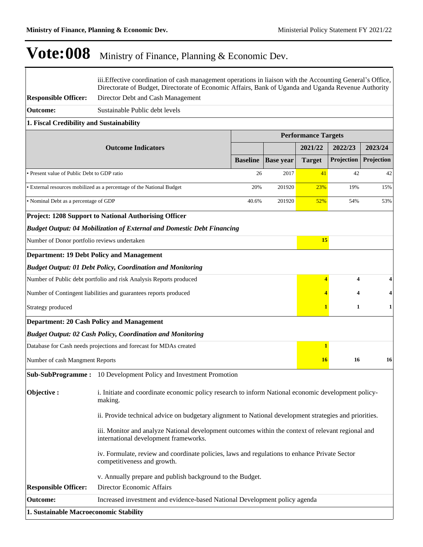$\overline{\Gamma}$ 

٦

|                                              | iii. Effective coordination of cash management operations in liaison with the Accounting General's Office,<br>Directorate of Budget, Directorate of Economic Affairs, Bank of Uganda and Uganda Revenue Authority |                 |                  |                            |                   |            |
|----------------------------------------------|-------------------------------------------------------------------------------------------------------------------------------------------------------------------------------------------------------------------|-----------------|------------------|----------------------------|-------------------|------------|
| <b>Responsible Officer:</b>                  | Director Debt and Cash Management                                                                                                                                                                                 |                 |                  |                            |                   |            |
| <b>Outcome:</b>                              | Sustainable Public debt levels                                                                                                                                                                                    |                 |                  |                            |                   |            |
| 1. Fiscal Credibility and Sustainability     |                                                                                                                                                                                                                   |                 |                  |                            |                   |            |
|                                              |                                                                                                                                                                                                                   |                 |                  | <b>Performance Targets</b> |                   |            |
|                                              | <b>Outcome Indicators</b>                                                                                                                                                                                         |                 |                  | 2021/22                    | 2022/23           | 2023/24    |
|                                              |                                                                                                                                                                                                                   | <b>Baseline</b> | <b>Base year</b> | <b>Target</b>              | <b>Projection</b> | Projection |
| • Present value of Public Debt to GDP ratio  |                                                                                                                                                                                                                   | 26              | 2017             | 41                         | 42                | 42         |
|                                              | • External resources mobilized as a percentage of the National Budget                                                                                                                                             | 20%             | 201920           | 23%                        | 19%               | 15%        |
| • Nominal Debt as a percentage of GDP        |                                                                                                                                                                                                                   | 40.6%           | 201920           | 52%                        | 54%               | 53%        |
|                                              | <b>Project: 1208 Support to National Authorising Officer</b>                                                                                                                                                      |                 |                  |                            |                   |            |
|                                              | <b>Budget Output: 04 Mobilization of External and Domestic Debt Financing</b>                                                                                                                                     |                 |                  |                            |                   |            |
| Number of Donor portfolio reviews undertaken |                                                                                                                                                                                                                   |                 |                  | 15                         |                   |            |
|                                              | <b>Department: 19 Debt Policy and Management</b>                                                                                                                                                                  |                 |                  |                            |                   |            |
|                                              | <b>Budget Output: 01 Debt Policy, Coordination and Monitoring</b>                                                                                                                                                 |                 |                  |                            |                   |            |
|                                              | Number of Public debt portfolio and risk Analysis Reports produced                                                                                                                                                |                 |                  | 4                          | 4                 | 4          |
|                                              | Number of Contingent liabilities and guarantees reports produced                                                                                                                                                  |                 |                  |                            | 4                 | 4          |
| Strategy produced                            |                                                                                                                                                                                                                   |                 |                  |                            | 1                 | 1          |
|                                              | <b>Department: 20 Cash Policy and Management</b>                                                                                                                                                                  |                 |                  |                            |                   |            |
|                                              | <b>Budget Output: 02 Cash Policy, Coordination and Monitoring</b>                                                                                                                                                 |                 |                  |                            |                   |            |
|                                              | Database for Cash needs projections and forecast for MDAs created                                                                                                                                                 |                 |                  | 1                          |                   |            |
| Number of cash Mangment Reports              |                                                                                                                                                                                                                   |                 |                  | <b>16</b>                  | 16                | 16         |
|                                              | <b>Sub-SubProgramme:</b> 10 Development Policy and Investment Promotion                                                                                                                                           |                 |                  |                            |                   |            |
| Objective:                                   | i. Initiate and coordinate economic policy research to inform National economic development policy-<br>making.                                                                                                    |                 |                  |                            |                   |            |
|                                              | ii. Provide technical advice on budgetary alignment to National development strategies and priorities.                                                                                                            |                 |                  |                            |                   |            |
|                                              | iii. Monitor and analyze National development outcomes within the context of relevant regional and<br>international development frameworks.                                                                       |                 |                  |                            |                   |            |
|                                              | iv. Formulate, review and coordinate policies, laws and regulations to enhance Private Sector<br>competitiveness and growth.                                                                                      |                 |                  |                            |                   |            |
| <b>Responsible Officer:</b>                  | v. Annually prepare and publish background to the Budget.<br>Director Economic Affairs                                                                                                                            |                 |                  |                            |                   |            |
| <b>Outcome:</b>                              | Increased investment and evidence-based National Development policy agenda                                                                                                                                        |                 |                  |                            |                   |            |
| 1. Sustainable Macroeconomic Stability       |                                                                                                                                                                                                                   |                 |                  |                            |                   |            |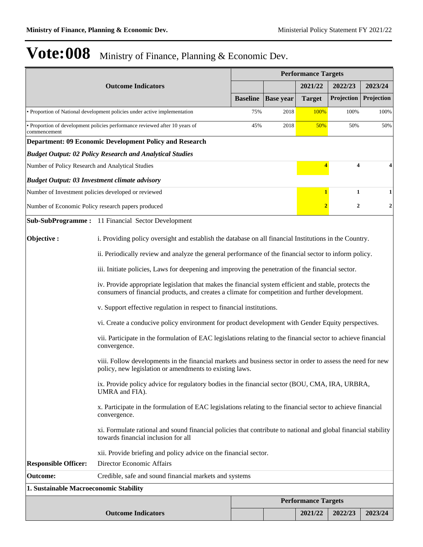|                                                      |                                                                                                                                                                                                           |                 |                  | <b>Performance Targets</b> |                  |                  |  |  |  |
|------------------------------------------------------|-----------------------------------------------------------------------------------------------------------------------------------------------------------------------------------------------------------|-----------------|------------------|----------------------------|------------------|------------------|--|--|--|
|                                                      | <b>Outcome Indicators</b>                                                                                                                                                                                 |                 |                  | 2021/22                    | 2022/23          | 2023/24          |  |  |  |
|                                                      |                                                                                                                                                                                                           | <b>Baseline</b> | <b>Base year</b> | <b>Target</b>              | Projection       | Projection       |  |  |  |
|                                                      | • Proportion of National development policies under active implementation                                                                                                                                 | 75%             | 2018             | 100%                       | 100%             | 100%             |  |  |  |
| commencement                                         | · Proportion of development policies performance reviewed after 10 years of                                                                                                                               | 45%             | 2018             | 50%                        | 50%              | 50%              |  |  |  |
|                                                      | <b>Department: 09 Economic Development Policy and Research</b>                                                                                                                                            |                 |                  |                            |                  |                  |  |  |  |
|                                                      | <b>Budget Output: 02 Policy Research and Analytical Studies</b>                                                                                                                                           |                 |                  |                            |                  |                  |  |  |  |
| Number of Policy Research and Analytical Studies     |                                                                                                                                                                                                           |                 |                  | $\overline{\mathbf{4}}$    | 4                | 4                |  |  |  |
| <b>Budget Output: 03 Investment climate advisory</b> |                                                                                                                                                                                                           |                 |                  |                            |                  |                  |  |  |  |
|                                                      | Number of Investment policies developed or reviewed                                                                                                                                                       |                 |                  | 1                          | 1                | 1                |  |  |  |
|                                                      | Number of Economic Policy research papers produced                                                                                                                                                        |                 |                  | $\overline{2}$             | $\boldsymbol{2}$ | $\boldsymbol{2}$ |  |  |  |
|                                                      | <b>Sub-SubProgramme:</b> 11 Financial Sector Development                                                                                                                                                  |                 |                  |                            |                  |                  |  |  |  |
| Objective:                                           | i. Providing policy oversight and establish the database on all financial Institutions in the Country.                                                                                                    |                 |                  |                            |                  |                  |  |  |  |
|                                                      | ii. Periodically review and analyze the general performance of the financial sector to inform policy.                                                                                                     |                 |                  |                            |                  |                  |  |  |  |
|                                                      | iii. Initiate policies, Laws for deepening and improving the penetration of the financial sector.                                                                                                         |                 |                  |                            |                  |                  |  |  |  |
|                                                      | iv. Provide appropriate legislation that makes the financial system efficient and stable, protects the<br>consumers of financial products, and creates a climate for competition and further development. |                 |                  |                            |                  |                  |  |  |  |
|                                                      | v. Support effective regulation in respect to financial institutions.                                                                                                                                     |                 |                  |                            |                  |                  |  |  |  |
|                                                      | vi. Create a conducive policy environment for product development with Gender Equity perspectives.                                                                                                        |                 |                  |                            |                  |                  |  |  |  |
|                                                      | vii. Participate in the formulation of EAC legislations relating to the financial sector to achieve financial<br>convergence.                                                                             |                 |                  |                            |                  |                  |  |  |  |
|                                                      | viii. Follow developments in the financial markets and business sector in order to assess the need for new<br>policy, new legislation or amendments to existing laws.                                     |                 |                  |                            |                  |                  |  |  |  |
|                                                      | ix. Provide policy advice for regulatory bodies in the financial sector (BOU, CMA, IRA, URBRA,<br>UMRA and FIA).                                                                                          |                 |                  |                            |                  |                  |  |  |  |
|                                                      | x. Participate in the formulation of EAC legislations relating to the financial sector to achieve financial<br>convergence.                                                                               |                 |                  |                            |                  |                  |  |  |  |
|                                                      | xi. Formulate rational and sound financial policies that contribute to national and global financial stability<br>towards financial inclusion for all                                                     |                 |                  |                            |                  |                  |  |  |  |
|                                                      | xii. Provide briefing and policy advice on the financial sector.                                                                                                                                          |                 |                  |                            |                  |                  |  |  |  |
| <b>Responsible Officer:</b>                          | Director Economic Affairs                                                                                                                                                                                 |                 |                  |                            |                  |                  |  |  |  |
| <b>Outcome:</b>                                      | Credible, safe and sound financial markets and systems                                                                                                                                                    |                 |                  |                            |                  |                  |  |  |  |
| 1. Sustainable Macroeconomic Stability               |                                                                                                                                                                                                           |                 |                  |                            |                  |                  |  |  |  |
|                                                      |                                                                                                                                                                                                           |                 |                  | <b>Performance Targets</b> |                  |                  |  |  |  |
|                                                      | <b>Outcome Indicators</b>                                                                                                                                                                                 |                 |                  | 2021/22                    | 2022/23          | 2023/24          |  |  |  |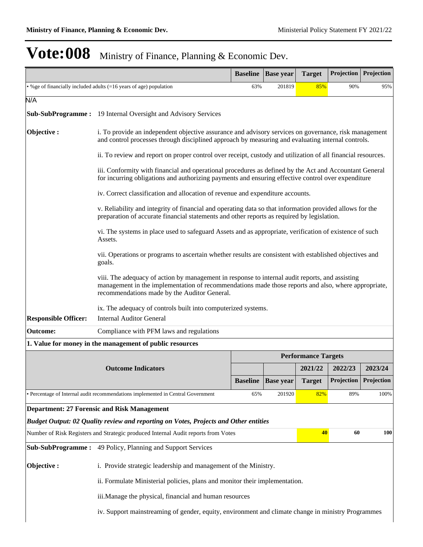|                             |                                                                                                                                                                                                                                                        | <b>Baseline</b>                                                                                                                                                                                            | <b>Base year</b> | <b>Target</b>              | <b>Projection</b> Projection |            |  |  |  |
|-----------------------------|--------------------------------------------------------------------------------------------------------------------------------------------------------------------------------------------------------------------------------------------------------|------------------------------------------------------------------------------------------------------------------------------------------------------------------------------------------------------------|------------------|----------------------------|------------------------------|------------|--|--|--|
|                             | • %ge of financially included adults (=16 years of age) population                                                                                                                                                                                     | 63%                                                                                                                                                                                                        | 201819           | 85%                        | 90%                          | 95%        |  |  |  |
| N/A                         |                                                                                                                                                                                                                                                        |                                                                                                                                                                                                            |                  |                            |                              |            |  |  |  |
|                             | <b>Sub-SubProgramme:</b> 19 Internal Oversight and Advisory Services                                                                                                                                                                                   |                                                                                                                                                                                                            |                  |                            |                              |            |  |  |  |
| Objective:                  |                                                                                                                                                                                                                                                        | i. To provide an independent objective assurance and advisory services on governance, risk management<br>and control processes through disciplined approach by measuring and evaluating internal controls. |                  |                            |                              |            |  |  |  |
|                             | ii. To review and report on proper control over receipt, custody and utilization of all financial resources.                                                                                                                                           |                                                                                                                                                                                                            |                  |                            |                              |            |  |  |  |
|                             | iii. Conformity with financial and operational procedures as defined by the Act and Accountant General<br>for incurring obligations and authorizing payments and ensuring effective control over expenditure                                           |                                                                                                                                                                                                            |                  |                            |                              |            |  |  |  |
|                             | iv. Correct classification and allocation of revenue and expenditure accounts.                                                                                                                                                                         |                                                                                                                                                                                                            |                  |                            |                              |            |  |  |  |
|                             | v. Reliability and integrity of financial and operating data so that information provided allows for the<br>preparation of accurate financial statements and other reports as required by legislation.                                                 |                                                                                                                                                                                                            |                  |                            |                              |            |  |  |  |
|                             | vi. The systems in place used to safeguard Assets and as appropriate, verification of existence of such<br>Assets.                                                                                                                                     |                                                                                                                                                                                                            |                  |                            |                              |            |  |  |  |
|                             | vii. Operations or programs to ascertain whether results are consistent with established objectives and<br>goals.                                                                                                                                      |                                                                                                                                                                                                            |                  |                            |                              |            |  |  |  |
|                             | viii. The adequacy of action by management in response to internal audit reports, and assisting<br>management in the implementation of recommendations made those reports and also, where appropriate,<br>recommendations made by the Auditor General. |                                                                                                                                                                                                            |                  |                            |                              |            |  |  |  |
|                             | ix. The adequacy of controls built into computerized systems.                                                                                                                                                                                          |                                                                                                                                                                                                            |                  |                            |                              |            |  |  |  |
| <b>Responsible Officer:</b> | <b>Internal Auditor General</b>                                                                                                                                                                                                                        |                                                                                                                                                                                                            |                  |                            |                              |            |  |  |  |
| <b>Outcome:</b>             | Compliance with PFM laws and regulations                                                                                                                                                                                                               |                                                                                                                                                                                                            |                  |                            |                              |            |  |  |  |
|                             | 1. Value for money in the management of public resources                                                                                                                                                                                               |                                                                                                                                                                                                            |                  |                            |                              |            |  |  |  |
|                             |                                                                                                                                                                                                                                                        |                                                                                                                                                                                                            |                  | <b>Performance Targets</b> |                              |            |  |  |  |
|                             | <b>Outcome Indicators</b>                                                                                                                                                                                                                              |                                                                                                                                                                                                            |                  | 2021/22                    | 2022/23                      | 2023/24    |  |  |  |
|                             |                                                                                                                                                                                                                                                        | <b>Baseline</b>                                                                                                                                                                                            | <b>Base year</b> | <b>Target</b>              | Projection                   | Projection |  |  |  |
|                             | · Percentage of Internal audit recommendations implemented in Central Government                                                                                                                                                                       | 65%                                                                                                                                                                                                        | 201920           | 82%                        | 89%                          | 100%       |  |  |  |
|                             | <b>Department: 27 Forensic and Risk Management</b>                                                                                                                                                                                                     |                                                                                                                                                                                                            |                  |                            |                              |            |  |  |  |
|                             | Budget Output: 02 Quality review and reporting on Votes, Projects and Other entities                                                                                                                                                                   |                                                                                                                                                                                                            |                  |                            |                              |            |  |  |  |
|                             | Number of Risk Registers and Strategic produced Internal Audit reports from Votes                                                                                                                                                                      |                                                                                                                                                                                                            |                  | 40                         | 60                           | 100        |  |  |  |
| <b>Sub-SubProgramme:</b>    | 49 Policy, Planning and Support Services                                                                                                                                                                                                               |                                                                                                                                                                                                            |                  |                            |                              |            |  |  |  |
| Objective:                  | i. Provide strategic leadership and management of the Ministry.                                                                                                                                                                                        |                                                                                                                                                                                                            |                  |                            |                              |            |  |  |  |
|                             | ii. Formulate Ministerial policies, plans and monitor their implementation.                                                                                                                                                                            |                                                                                                                                                                                                            |                  |                            |                              |            |  |  |  |
|                             | iii. Manage the physical, financial and human resources                                                                                                                                                                                                |                                                                                                                                                                                                            |                  |                            |                              |            |  |  |  |
|                             | iv. Support mainstreaming of gender, equity, environment and climate change in ministry Programmes                                                                                                                                                     |                                                                                                                                                                                                            |                  |                            |                              |            |  |  |  |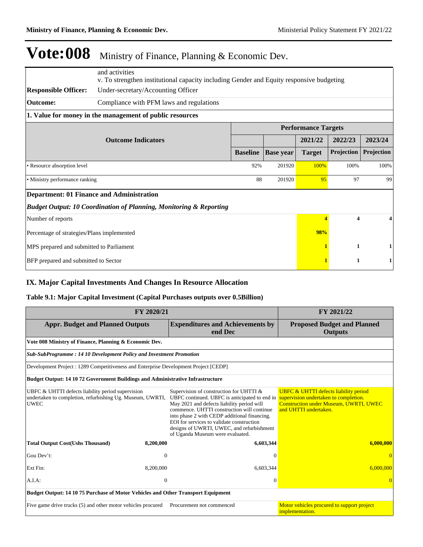|                                                  | and activities                                                                           |                 |                  |                         |            |            |  |  |  |
|--------------------------------------------------|------------------------------------------------------------------------------------------|-----------------|------------------|-------------------------|------------|------------|--|--|--|
|                                                  | v. To strengthen institutional capacity including Gender and Equity responsive budgeting |                 |                  |                         |            |            |  |  |  |
| <b>Responsible Officer:</b>                      | Under-secretary/Accounting Officer                                                       |                 |                  |                         |            |            |  |  |  |
| <b>Outcome:</b>                                  | Compliance with PFM laws and regulations                                                 |                 |                  |                         |            |            |  |  |  |
|                                                  | 1. Value for money in the management of public resources                                 |                 |                  |                         |            |            |  |  |  |
|                                                  | <b>Performance Targets</b>                                                               |                 |                  |                         |            |            |  |  |  |
|                                                  |                                                                                          |                 | 2021/22          | 2022/23                 | 2023/24    |            |  |  |  |
|                                                  |                                                                                          | <b>Baseline</b> | <b>Base year</b> | <b>Target</b>           | Projection | Projection |  |  |  |
| • Resource absorption level                      | 92%                                                                                      | 201920          | 100%             | 100%                    | 100%       |            |  |  |  |
| • Ministry performance ranking                   |                                                                                          |                 | 88<br>201920     | 95                      | 97         | 99         |  |  |  |
| <b>Department: 01 Finance and Administration</b> |                                                                                          |                 |                  |                         |            |            |  |  |  |
|                                                  | <b>Budget Output: 10 Coordination of Planning, Monitoring &amp; Reporting</b>            |                 |                  |                         |            |            |  |  |  |
| Number of reports                                |                                                                                          |                 | 4                | $\overline{\mathbf{4}}$ |            |            |  |  |  |
| Percentage of strategies/Plans implemented       |                                                                                          |                 | 98%              |                         |            |            |  |  |  |
| MPS prepared and submitted to Parliament         |                                                                                          |                 |                  |                         | 1          |            |  |  |  |
| BFP prepared and submitted to Sector             |                                                                                          |                 |                  | 1                       |            |            |  |  |  |

### **IX. Major Capital Investments And Changes In Resource Allocation**

#### **Table 9.1: Major Capital Investment (Capital Purchases outputs over 0.5Billion)**

| FY 2020/21                                                                                                                    | FY 2021/22                                                                                                                                                                                                                                                                                                                                                         |                                                                                                                                                                     |  |  |  |  |  |  |  |
|-------------------------------------------------------------------------------------------------------------------------------|--------------------------------------------------------------------------------------------------------------------------------------------------------------------------------------------------------------------------------------------------------------------------------------------------------------------------------------------------------------------|---------------------------------------------------------------------------------------------------------------------------------------------------------------------|--|--|--|--|--|--|--|
| <b>Appr. Budget and Planned Outputs</b>                                                                                       | <b>Expenditures and Achievements by</b><br>end Dec                                                                                                                                                                                                                                                                                                                 | <b>Proposed Budget and Planned</b><br><b>Outputs</b>                                                                                                                |  |  |  |  |  |  |  |
| Vote 008 Ministry of Finance, Planning & Economic Dev.                                                                        |                                                                                                                                                                                                                                                                                                                                                                    |                                                                                                                                                                     |  |  |  |  |  |  |  |
| Sub-SubProgramme: 14 10 Development Policy and Investment Promotion                                                           |                                                                                                                                                                                                                                                                                                                                                                    |                                                                                                                                                                     |  |  |  |  |  |  |  |
| Development Project : 1289 Competitiveness and Enterprise Development Project [CEDP]                                          |                                                                                                                                                                                                                                                                                                                                                                    |                                                                                                                                                                     |  |  |  |  |  |  |  |
| <b>Budget Output: 14 10 72 Government Buildings and Administrative Infrastructure</b>                                         |                                                                                                                                                                                                                                                                                                                                                                    |                                                                                                                                                                     |  |  |  |  |  |  |  |
| UBFC & UHTTI defects liability period supervision<br>undertaken to completion, refurbishing Ug. Museum, UWRTI,<br><b>UWEC</b> | Supervision of construction for UHTTI &<br>UBFC continued. UBFC is anticipated to end in<br>May 2021 and defects liability period will<br>commence. UHTTI construction will continue<br>into phase 2 with CEDP additional financing.<br>EOI for services to validate construction<br>designs of UWRTI, UWEC, and refurbishment<br>of Uganda Museum were evaluated. | <b>UBFC &amp; UHTTI defects liability period</b><br>supervision undertaken to completion.<br><b>Construction under Museum, UWRTI, UWEC</b><br>and UHTTI undertaken. |  |  |  |  |  |  |  |
| <b>Total Output Cost(Ushs Thousand)</b><br>8,200,000                                                                          | 6,603,344                                                                                                                                                                                                                                                                                                                                                          | 6,000,000                                                                                                                                                           |  |  |  |  |  |  |  |
| Gou Dev't:                                                                                                                    | $\theta$<br>$\Omega$                                                                                                                                                                                                                                                                                                                                               |                                                                                                                                                                     |  |  |  |  |  |  |  |
| Ext Fin:<br>8,200,000                                                                                                         | 6,603,344                                                                                                                                                                                                                                                                                                                                                          | 6.000.000                                                                                                                                                           |  |  |  |  |  |  |  |
| $A.I.A$ :                                                                                                                     | $\theta$<br>$\Omega$                                                                                                                                                                                                                                                                                                                                               |                                                                                                                                                                     |  |  |  |  |  |  |  |
| <b>Budget Output: 14 10 75 Purchase of Motor Vehicles and Other Transport Equipment</b>                                       |                                                                                                                                                                                                                                                                                                                                                                    |                                                                                                                                                                     |  |  |  |  |  |  |  |
| Five game drive trucks (5) and other motor vehicles procured                                                                  | Procurement not commenced                                                                                                                                                                                                                                                                                                                                          | Motor vehicles procured to support project<br>implementation.                                                                                                       |  |  |  |  |  |  |  |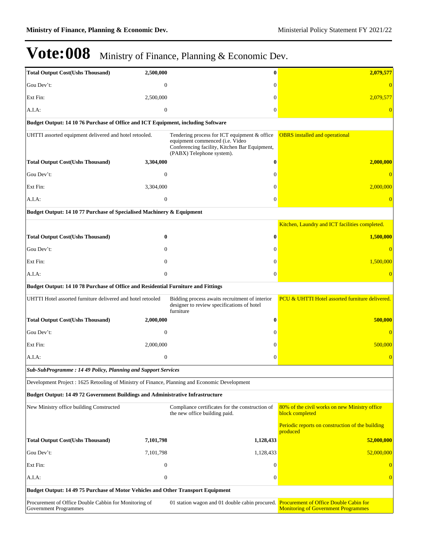| <b>Total Output Cost(Ushs Thousand)</b>                                                        | 2,500,000        | $\bf{0}$                                                                                                                                                      | 2,079,577                                                        |  |  |  |  |
|------------------------------------------------------------------------------------------------|------------------|---------------------------------------------------------------------------------------------------------------------------------------------------------------|------------------------------------------------------------------|--|--|--|--|
| Gou Dev't:                                                                                     | $\overline{0}$   | $\Omega$                                                                                                                                                      |                                                                  |  |  |  |  |
| Ext Fin:                                                                                       | 2,500,000        | $\Omega$                                                                                                                                                      | 2,079,577                                                        |  |  |  |  |
| A.I.A:                                                                                         | $\boldsymbol{0}$ | 0                                                                                                                                                             |                                                                  |  |  |  |  |
| Budget Output: 14 10 76 Purchase of Office and ICT Equipment, including Software               |                  |                                                                                                                                                               |                                                                  |  |  |  |  |
| UHTTI assorted equipment delivered and hotel retooled.                                         |                  | Tendering process for ICT equipment & office<br>equipment commenced (i.e. Video<br>Conferencing facility, Kitchen Bar Equipment,<br>(PABX) Telephone system). | <b>OBRS</b> installed and operational                            |  |  |  |  |
| <b>Total Output Cost(Ushs Thousand)</b>                                                        | 3,304,000        | 0                                                                                                                                                             | 2,000,000                                                        |  |  |  |  |
| Gou Dev't:                                                                                     | $\mathbf{0}$     | $\Omega$                                                                                                                                                      |                                                                  |  |  |  |  |
| Ext Fin:                                                                                       | 3,304,000        | $\Omega$                                                                                                                                                      | 2,000,000                                                        |  |  |  |  |
| A.I.A:                                                                                         | $\mathbf{0}$     | $\boldsymbol{0}$                                                                                                                                              |                                                                  |  |  |  |  |
| Budget Output: 14 10 77 Purchase of Specialised Machinery & Equipment                          |                  |                                                                                                                                                               |                                                                  |  |  |  |  |
|                                                                                                |                  |                                                                                                                                                               | Kitchen, Laundry and ICT facilities completed.                   |  |  |  |  |
| <b>Total Output Cost(Ushs Thousand)</b>                                                        | 0                | 0                                                                                                                                                             | 1,500,000                                                        |  |  |  |  |
| Gou Dev't:                                                                                     | $\mathbf{0}$     | 0                                                                                                                                                             |                                                                  |  |  |  |  |
| Ext Fin:                                                                                       | $\Omega$         | $\Omega$                                                                                                                                                      | 1,500,000                                                        |  |  |  |  |
| A.I.A:                                                                                         | $\mathbf{0}$     | $\overline{0}$                                                                                                                                                |                                                                  |  |  |  |  |
| Budget Output: 14 10 78 Purchase of Office and Residential Furniture and Fittings              |                  |                                                                                                                                                               |                                                                  |  |  |  |  |
| UHTTI Hotel assorted furniture delivered and hotel retooled                                    |                  | Bidding process awaits recruitment of interior<br>designer to review specifications of hotel<br>furniture                                                     | <b>PCU &amp; UHTTI Hotel assorted furniture delivered.</b>       |  |  |  |  |
| <b>Total Output Cost(Ushs Thousand)</b>                                                        | 2,000,000        | 0                                                                                                                                                             | 500,000                                                          |  |  |  |  |
| Gou Dev't:                                                                                     | $\overline{0}$   | 0                                                                                                                                                             |                                                                  |  |  |  |  |
| Ext Fin:                                                                                       | 2,000,000        | 0                                                                                                                                                             | 500,000                                                          |  |  |  |  |
| A.I.A:                                                                                         | $\mathbf{0}$     | $\overline{0}$                                                                                                                                                |                                                                  |  |  |  |  |
| Sub-SubProgramme: 14 49 Policy, Planning and Support Services                                  |                  |                                                                                                                                                               |                                                                  |  |  |  |  |
| Development Project : 1625 Retooling of Ministry of Finance, Planning and Economic Development |                  |                                                                                                                                                               |                                                                  |  |  |  |  |
| Budget Output: 14 49 72 Government Buildings and Administrative Infrastructure                 |                  |                                                                                                                                                               |                                                                  |  |  |  |  |
| New Ministry office building Constructed                                                       |                  | Compliance certificates for the construction of<br>the new office building paid.                                                                              | 80% of the civil works on new Ministry office<br>block completed |  |  |  |  |
|                                                                                                |                  |                                                                                                                                                               | Periodic reports on construction of the building<br>produced     |  |  |  |  |
| <b>Total Output Cost(Ushs Thousand)</b>                                                        | 7,101,798        | 1,128,433                                                                                                                                                     | 52,000,000                                                       |  |  |  |  |
| Gou Dev't:                                                                                     | 7,101,798        | 1,128,433                                                                                                                                                     | 52,000,000                                                       |  |  |  |  |
| Ext Fin:                                                                                       | $\mathbf{0}$     | $\boldsymbol{0}$                                                                                                                                              | $\theta$                                                         |  |  |  |  |
| A.I.A:                                                                                         | $\boldsymbol{0}$ | $\mathbf{0}$                                                                                                                                                  | $\overline{0}$                                                   |  |  |  |  |
| Budget Output: 14 49 75 Purchase of Motor Vehicles and Other Transport Equipment               |                  |                                                                                                                                                               |                                                                  |  |  |  |  |
| Procurement of Office Double Cabbin for Monitoring of<br><b>Government Programmes</b>          |                  | 01 station wagon and 01 double cabin procured. Procurement of Office Double Cabin for                                                                         | <b>Monitoring of Government Programmes</b>                       |  |  |  |  |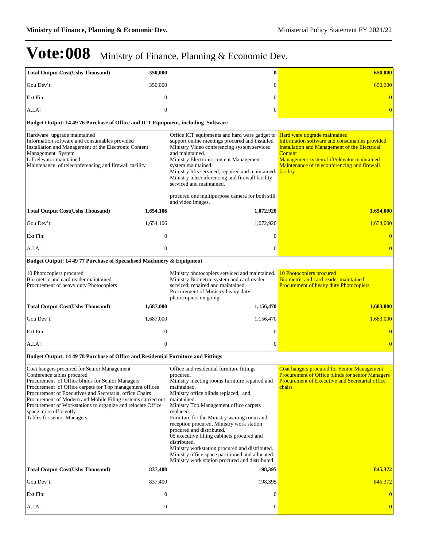| <b>Total Output Cost(Ushs Thousand)</b>                                                                                                                                                                                                                                                                                                                                                                                                    | 350,000          | $\bf{0}$                                                                                                                                                                                                                                                                                                                                                                                                                                                                                                                                                                             | 650,000                                                                                                                                                                                                                                                            |
|--------------------------------------------------------------------------------------------------------------------------------------------------------------------------------------------------------------------------------------------------------------------------------------------------------------------------------------------------------------------------------------------------------------------------------------------|------------------|--------------------------------------------------------------------------------------------------------------------------------------------------------------------------------------------------------------------------------------------------------------------------------------------------------------------------------------------------------------------------------------------------------------------------------------------------------------------------------------------------------------------------------------------------------------------------------------|--------------------------------------------------------------------------------------------------------------------------------------------------------------------------------------------------------------------------------------------------------------------|
| Gou Dev't:                                                                                                                                                                                                                                                                                                                                                                                                                                 | 350,000          | $\theta$                                                                                                                                                                                                                                                                                                                                                                                                                                                                                                                                                                             | 650,000                                                                                                                                                                                                                                                            |
| Ext Fin:                                                                                                                                                                                                                                                                                                                                                                                                                                   | $\mathbf{0}$     | $\theta$                                                                                                                                                                                                                                                                                                                                                                                                                                                                                                                                                                             |                                                                                                                                                                                                                                                                    |
| A.I.A.                                                                                                                                                                                                                                                                                                                                                                                                                                     | $\mathbf{0}$     | $\theta$                                                                                                                                                                                                                                                                                                                                                                                                                                                                                                                                                                             |                                                                                                                                                                                                                                                                    |
| Budget Output: 14 49 76 Purchase of Office and ICT Equipment, including Software                                                                                                                                                                                                                                                                                                                                                           |                  |                                                                                                                                                                                                                                                                                                                                                                                                                                                                                                                                                                                      |                                                                                                                                                                                                                                                                    |
| Hardware upgrade maintained<br>Information software and consumables provided<br>Installation and Management of the Electronic Content<br>Management System<br>Lift/elevator maintained<br>Maintenance of teleconferencing and firewall facility                                                                                                                                                                                            |                  | Office ICT equipments and hard ware gadget to<br>support online meetings procured and installed<br>Ministry Video conferencing system serviced<br>and maintained.<br>Ministry Electronic content Management<br>system maintained.<br>Ministry lifts serviced, repaired and maintained.<br>Ministry teleconferencing and firewall facility<br>serviced and maintained.<br>procured one multipurpose camera for both still<br>and video images.                                                                                                                                        | Hard ware upgrade maintained<br>Information software and consumables provided<br><b>Installation and Management of the Electrical</b><br><b>Content</b><br>Management system, Lift/elevator maintained<br>Maintenance of teleconferencing and firewall<br>facility |
| <b>Total Output Cost(Ushs Thousand)</b>                                                                                                                                                                                                                                                                                                                                                                                                    | 1,654,106        | 1,072,920                                                                                                                                                                                                                                                                                                                                                                                                                                                                                                                                                                            | 1,654,000                                                                                                                                                                                                                                                          |
| Gou Dev't:                                                                                                                                                                                                                                                                                                                                                                                                                                 | 1,654,106        | 1,072,920                                                                                                                                                                                                                                                                                                                                                                                                                                                                                                                                                                            | 1,654,000                                                                                                                                                                                                                                                          |
| Ext Fin:                                                                                                                                                                                                                                                                                                                                                                                                                                   | $\boldsymbol{0}$ | $\theta$                                                                                                                                                                                                                                                                                                                                                                                                                                                                                                                                                                             | $\overline{0}$                                                                                                                                                                                                                                                     |
| A.I.A.                                                                                                                                                                                                                                                                                                                                                                                                                                     | $\mathbf{0}$     | $\boldsymbol{0}$                                                                                                                                                                                                                                                                                                                                                                                                                                                                                                                                                                     | $\overline{0}$                                                                                                                                                                                                                                                     |
| Budget Output: 14 49 77 Purchase of Specialised Machinery & Equipment                                                                                                                                                                                                                                                                                                                                                                      |                  |                                                                                                                                                                                                                                                                                                                                                                                                                                                                                                                                                                                      |                                                                                                                                                                                                                                                                    |
| 10 Photocopiers procured<br>Bio metric and card reader maintained<br>Procurement of heavy duty Photocopiers                                                                                                                                                                                                                                                                                                                                |                  | Ministry photocopiers serviced and maintained.<br>Ministry Biometric system and card reader<br>serviced, repaired and maintained.<br>Procurement of Ministry heavy duty<br>photocopiers on going                                                                                                                                                                                                                                                                                                                                                                                     | 10 Photocopiers procured<br>Bio metric and card reader maintained<br><b>Procurement of heavy duty Photocopiers</b>                                                                                                                                                 |
| <b>Total Output Cost(Ushs Thousand)</b>                                                                                                                                                                                                                                                                                                                                                                                                    | 1,687,000        | 1,156,470                                                                                                                                                                                                                                                                                                                                                                                                                                                                                                                                                                            | 1,683,000                                                                                                                                                                                                                                                          |
| Gou Dev't:                                                                                                                                                                                                                                                                                                                                                                                                                                 | 1,687,000        | 1,156,470                                                                                                                                                                                                                                                                                                                                                                                                                                                                                                                                                                            | 1,683,000                                                                                                                                                                                                                                                          |
| Ext Fin:                                                                                                                                                                                                                                                                                                                                                                                                                                   | $\mathbf{0}$     | $\theta$                                                                                                                                                                                                                                                                                                                                                                                                                                                                                                                                                                             |                                                                                                                                                                                                                                                                    |
| A.I.A.                                                                                                                                                                                                                                                                                                                                                                                                                                     | $\mathbf{0}$     | $\mathbf{0}$                                                                                                                                                                                                                                                                                                                                                                                                                                                                                                                                                                         | $\overline{0}$                                                                                                                                                                                                                                                     |
| Budget Output: 14 49 78 Purchase of Office and Residential Furniture and Fittings                                                                                                                                                                                                                                                                                                                                                          |                  |                                                                                                                                                                                                                                                                                                                                                                                                                                                                                                                                                                                      |                                                                                                                                                                                                                                                                    |
| Coat hangers procured for Senior Management<br>Conference tables procured<br>Procurement of Office blinds for Senior Managers<br>Procurement of Office carpets for Top management offices<br>Procurement of Executives and Secretarial office Chairs<br>Procurement of Modern and Mobile Filing systems carried out<br>Procurement of Workstations to organize and relocate Office<br>space more efficiently<br>Tables for senior Managers |                  | Office and residential furniture fittings<br>procured.<br>Ministry meeting rooms furniture repaired and<br>maintained.<br>Ministry office blinds replaced, and<br>maintained.<br>Ministry Top Management office carpets<br>replaced.<br>Furniture for the Ministry waiting room and<br>reception procured, Ministry work station<br>procured and distributed.<br>05 executive filling cabinets procured and<br>distributed.<br>Ministry workstation procured and distributed.<br>Ministry office space partitioned and allocated.<br>Ministry work station procured and distributed. | <b>Coat hangers procured for Senior Management</b><br><b>Procurement of Office blinds for senior Managers</b><br><b>Procurement of Executive and Secretarial office</b><br>chairs                                                                                  |
| <b>Total Output Cost(Ushs Thousand)</b>                                                                                                                                                                                                                                                                                                                                                                                                    | 837,400          | 198,395                                                                                                                                                                                                                                                                                                                                                                                                                                                                                                                                                                              | 845,372                                                                                                                                                                                                                                                            |
| Gou Dev't:                                                                                                                                                                                                                                                                                                                                                                                                                                 | 837,400          | 198,395                                                                                                                                                                                                                                                                                                                                                                                                                                                                                                                                                                              | 845,372                                                                                                                                                                                                                                                            |
| Ext Fin:                                                                                                                                                                                                                                                                                                                                                                                                                                   | $\mathbf{0}$     | $\theta$                                                                                                                                                                                                                                                                                                                                                                                                                                                                                                                                                                             | $\vert 0 \vert$                                                                                                                                                                                                                                                    |
| A.I.A:                                                                                                                                                                                                                                                                                                                                                                                                                                     | $\boldsymbol{0}$ | $\bf{0}$                                                                                                                                                                                                                                                                                                                                                                                                                                                                                                                                                                             | $\overline{0}$                                                                                                                                                                                                                                                     |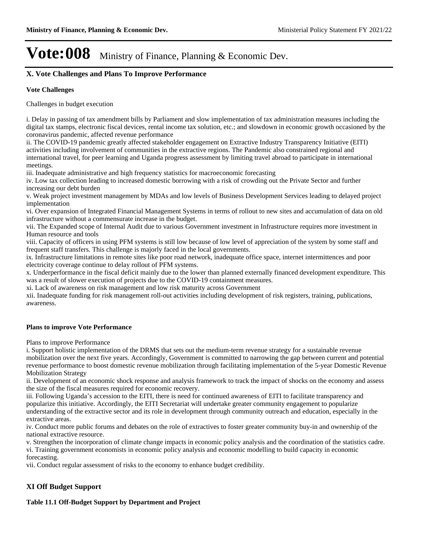### **X. Vote Challenges and Plans To Improve Performance**

#### **Vote Challenges**

Challenges in budget execution

i. Delay in passing of tax amendment bills by Parliament and slow implementation of tax administration measures including the digital tax stamps, electronic fiscal devices, rental income tax solution, etc.; and slowdown in economic growth occasioned by the coronavirus pandemic, affected revenue performance

ii. The COVID-19 pandemic greatly affected stakeholder engagement on Extractive Industry Transparency Initiative (EITI) activities including involvement of communities in the extractive regions. The Pandemic also constrained regional and international travel, for peer learning and Uganda progress assessment by limiting travel abroad to participate in international meetings.

iii. Inadequate administrative and high frequency statistics for macroeconomic forecasting

iv. Low tax collection leading to increased domestic borrowing with a risk of crowding out the Private Sector and further increasing our debt burden

v. Weak project investment management by MDAs and low levels of Business Development Services leading to delayed project implementation

vi. Over expansion of Integrated Financial Management Systems in terms of rollout to new sites and accumulation of data on old infrastructure without a commensurate increase in the budget.

vii. The Expanded scope of Internal Audit due to various Government investment in Infrastructure requires more investment in Human resource and tools

viii. Capacity of officers in using PFM systems is still low because of low level of appreciation of the system by some staff and frequent staff transfers. This challenge is majorly faced in the local governments.

ix. Infrastructure limitations in remote sites like poor road network, inadequate office space, internet intermittences and poor electricity coverage continue to delay rollout of PFM systems.

x. Underperformance in the fiscal deficit mainly due to the lower than planned externally financed development expenditure. This was a result of slower execution of projects due to the COVID-19 containment measures.

xi. Lack of awareness on risk management and low risk maturity across Government

xii. Inadequate funding for risk management roll-out activities including development of risk registers, training, publications, awareness.

#### **Plans to improve Vote Performance**

Plans to improve Performance

i. Support holistic implementation of the DRMS that sets out the medium-term revenue strategy for a sustainable revenue mobilization over the next five years. Accordingly, Government is committed to narrowing the gap between current and potential revenue performance to boost domestic revenue mobilization through facilitating implementation of the 5-year Domestic Revenue Mobilization Strategy

ii. Development of an economic shock response and analysis framework to track the impact of shocks on the economy and assess the size of the fiscal measures required for economic recovery.

iii. Following Uganda's accession to the EITI, there is need for continued awareness of EITI to facilitate transparency and popularize this initiative. Accordingly, the EITI Secretariat will undertake greater community engagement to popularize understanding of the extractive sector and its role in development through community outreach and education, especially in the extractive areas.

iv. Conduct more public forums and debates on the role of extractives to foster greater community buy-in and ownership of the national extractive resource.

v. Strengthen the incorporation of climate change impacts in economic policy analysis and the coordination of the statistics cadre. vi. Training government economists in economic policy analysis and economic modelling to build capacity in economic forecasting.

vii. Conduct regular assessment of risks to the economy to enhance budget credibility.

#### **XI Off Budget Support**

**Table 11.1 Off-Budget Support by Department and Project**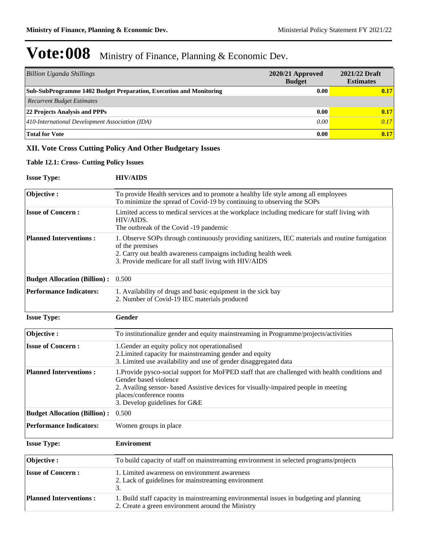| <b>Billion Uganda Shillings</b>                                    | $2020/21$ Approved<br><b>Budget</b> | 2021/22 Draft<br><b>Estimates</b> |
|--------------------------------------------------------------------|-------------------------------------|-----------------------------------|
| Sub-SubProgramme 1402 Budget Preparation, Execution and Monitoring | 0.00                                | 0.17                              |
| <b>Recurrent Budget Estimates</b>                                  |                                     |                                   |
| 22 Projects Analysis and PPPs                                      | 0.00                                | 0.17                              |
| 410-International Development Association (IDA)                    | 0.00                                | 0.17                              |
| <b>Total for Vote</b>                                              | 0.00                                | 0.17                              |

### **XII. Vote Cross Cutting Policy And Other Budgetary Issues**

#### **Table 12.1: Cross- Cutting Policy Issues**

#### **Issue Type: HIV/AIDS**

| Objective:                          | To provide Health services and to promote a healthy life style among all employees<br>To minimize the spread of Covid-19 by continuing to observing the SOPs                                                                                                                |  |  |  |  |  |
|-------------------------------------|-----------------------------------------------------------------------------------------------------------------------------------------------------------------------------------------------------------------------------------------------------------------------------|--|--|--|--|--|
| <b>Issue of Concern:</b>            | Limited access to medical services at the workplace including medicare for staff living with<br>HIV/AIDS.<br>The outbreak of the Covid -19 pandemic                                                                                                                         |  |  |  |  |  |
| <b>Planned Interventions:</b>       | 1. Observe SOPs through continuously providing sanitizers, IEC materials and routine fumigation<br>of the premises<br>2. Carry out health awareness campaigns including health week<br>3. Provide medicare for all staff living with HIV/AIDS                               |  |  |  |  |  |
| <b>Budget Allocation (Billion):</b> | 0.500                                                                                                                                                                                                                                                                       |  |  |  |  |  |
| <b>Performance Indicators:</b>      | 1. Availability of drugs and basic equipment in the sick bay<br>2. Number of Covid-19 IEC materials produced                                                                                                                                                                |  |  |  |  |  |
| <b>Issue Type:</b>                  | Gender                                                                                                                                                                                                                                                                      |  |  |  |  |  |
| Objective:                          | To institutionalize gender and equity mainstreaming in Programme/projects/activities                                                                                                                                                                                        |  |  |  |  |  |
| <b>Issue of Concern:</b>            | 1. Gender an equity policy not operationalised<br>2. Limited capacity for mainstreaming gender and equity<br>3. Limited use availability and use of gender disaggregated data                                                                                               |  |  |  |  |  |
| <b>Planned Interventions:</b>       | 1. Provide pysco-social support for MoFPED staff that are challenged with health conditions and<br>Gender based violence<br>2. Availing sensor- based Assistive devices for visually-impaired people in meeting<br>places/conference rooms<br>3. Develop guidelines for G&E |  |  |  |  |  |
| <b>Budget Allocation (Billion):</b> | 0.500                                                                                                                                                                                                                                                                       |  |  |  |  |  |
| <b>Performance Indicators:</b>      | Women groups in place                                                                                                                                                                                                                                                       |  |  |  |  |  |
| <b>Issue Type:</b>                  | <b>Enviroment</b>                                                                                                                                                                                                                                                           |  |  |  |  |  |
| Objective:                          | To build capacity of staff on mainstreaming environment in selected programs/projects                                                                                                                                                                                       |  |  |  |  |  |
| <b>Issue of Concern:</b>            | 1. Limited awareness on environment awareness<br>2. Lack of guidelines for mainstreaming environment<br>3.                                                                                                                                                                  |  |  |  |  |  |
| <b>Planned Interventions:</b>       | 1. Build staff capacity in mainstreaming environmental issues in budgeting and planning<br>2. Create a green environment around the Ministry                                                                                                                                |  |  |  |  |  |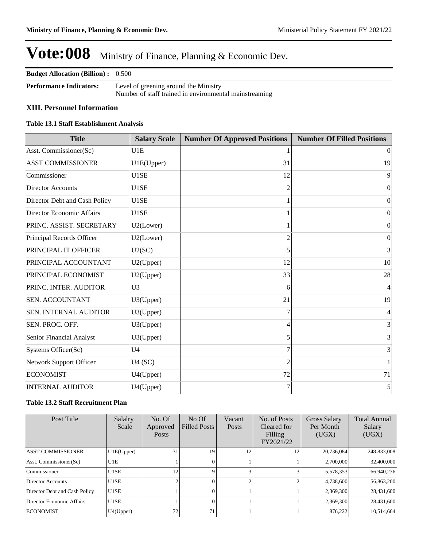| <b>Budget Allocation (Billion):</b> 0.500 |                                                                                                 |
|-------------------------------------------|-------------------------------------------------------------------------------------------------|
| <b>Performance Indicators:</b>            | Level of greening around the Ministry<br>Number of staff trained in environmental mainstreaming |

### **XIII. Personnel Information**

#### **Table 13.1 Staff Establishment Analysis**

| <b>Title</b>                  | <b>Salary Scale</b> | <b>Number Of Approved Positions</b> | <b>Number Of Filled Positions</b> |
|-------------------------------|---------------------|-------------------------------------|-----------------------------------|
| Asst. Commissioner(Sc)        | U1E                 |                                     | $\vert$ 0                         |
| <b>ASST COMMISSIONER</b>      | U1E(Upper)          | 31                                  | 19                                |
| Commissioner                  | U1SE                | 12                                  | 9                                 |
| <b>Director Accounts</b>      | U1SE                | $\overline{c}$                      | 0                                 |
| Director Debt and Cash Policy | U1SE                |                                     | $\Omega$                          |
| Director Economic Affairs     | U1SE                |                                     | $\Omega$                          |
| PRINC. ASSIST. SECRETARY      | U2(Lower)           |                                     | $\overline{0}$                    |
| Principal Records Officer     | U2(Lower)           | $\overline{2}$                      | $\overline{0}$                    |
| PRINCIPAL IT OFFICER          | U2(SC)              | 5                                   | 3                                 |
| PRINCIPAL ACCOUNTANT          | U2(Upper)           | 12                                  | 10                                |
| PRINCIPAL ECONOMIST           | U2(Upper)           | 33                                  | 28                                |
| PRINC. INTER. AUDITOR         | U <sub>3</sub>      | 6                                   | 4                                 |
| <b>SEN. ACCOUNTANT</b>        | U3(Upper)           | 21                                  | 19                                |
| <b>SEN. INTERNAL AUDITOR</b>  | U3(Upper)           |                                     | 4                                 |
| SEN. PROC. OFF.               | U3(Upper)           | 4                                   | 3                                 |
| Senior Financial Analyst      | U3(Upper)           | 5                                   | 3                                 |
| Systems Officer(Sc)           | U <sub>4</sub>      |                                     | 3                                 |
| Network Support Officer       | U4(SC)              | $\mathfrak{D}$                      | 1                                 |
| <b>ECONOMIST</b>              | U4(Upper)           | 72                                  | 71                                |
| <b>INTERNAL AUDITOR</b>       | U4(Upper)           | 7                                   | 5                                 |

#### **Table 13.2 Staff Recruitment Plan**

| Post Title                    | Salalry<br>Scale  | No. Of<br>Approved<br><b>Posts</b> | $No$ Of<br><b>Filled Posts</b> | Vacant<br><b>Posts</b> | No. of Posts<br>Cleared for<br>Filling<br>FY2021/22 | Gross Salary<br>Per Month<br>(UGX) | <b>Total Annual</b><br>Salary<br>(UGX) |
|-------------------------------|-------------------|------------------------------------|--------------------------------|------------------------|-----------------------------------------------------|------------------------------------|----------------------------------------|
| <b>ASST COMMISSIONER</b>      | UIE(Upper)        | 31                                 | 19                             | 12                     | 12                                                  | 20,736,084                         | 248,833,008                            |
| Asst. Commissioner(Sc)        | U1E               |                                    |                                |                        |                                                     | 2,700,000                          | 32,400,000                             |
| Commissioner                  | U1SE              | 12                                 |                                |                        |                                                     | 5,578,353                          | 66,940,236                             |
| Director Accounts             | U1SE              | ◠                                  |                                |                        |                                                     | 4,738,600                          | 56,863,200                             |
| Director Debt and Cash Policy | U <sub>1</sub> SE |                                    |                                |                        |                                                     | 2,369,300                          | 28,431,600                             |
| Director Economic Affairs     | U1SE              |                                    |                                |                        |                                                     | 2,369,300                          | 28,431,600                             |
| <b>ECONOMIST</b>              | U4(Upper)         | 72                                 | 71                             |                        |                                                     | 876,222                            | 10,514,664                             |